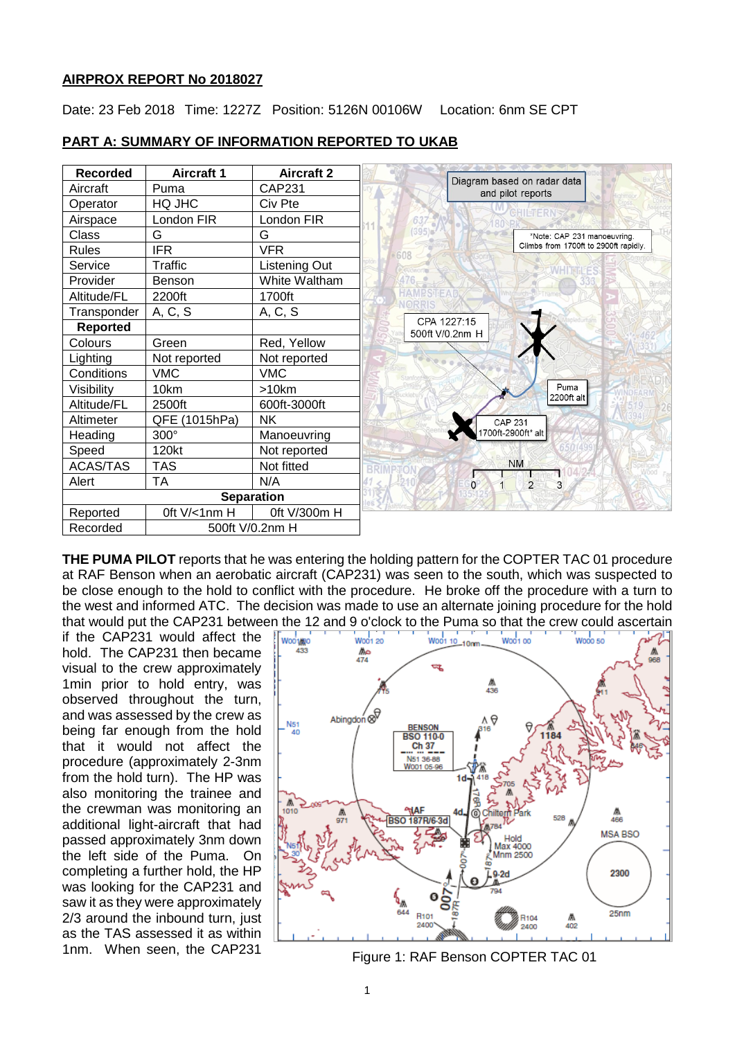#### **AIRPROX REPORT No 2018027**

Date: 23 Feb 2018 Time: 1227Z Position: 5126N 00106W Location: 6nm SE CPT

| <b>Recorded</b> | <b>Aircraft 1</b> | <b>Aircraft 2</b> |                                                  |
|-----------------|-------------------|-------------------|--------------------------------------------------|
| Aircraft        | Puma              | CAP231            | Diagram based on radar data<br>and pilot reports |
| Operator        | HQ JHC            | Civ Pte           |                                                  |
| Airspace        | London FIR        | London FIR        |                                                  |
| Class           | G                 | G                 | *Note: CAP 231 manoeuvring.                      |
| Rules           | <b>IFR</b>        | <b>VFR</b>        | Climbs from 1700ft to 2900ft rapidly.<br>608     |
| Service         | Traffic           | Listening Out     |                                                  |
| Provider        | Benson            | White Waltham     |                                                  |
| Altitude/FL     | 2200ft            | 1700ft            |                                                  |
| Transponder     | A, C, S           | A, C, S           |                                                  |
| <b>Reported</b> |                   |                   | CPA 1227:15<br>500ft V/0.2nm H                   |
| Colours         | Green             | Red, Yellow       |                                                  |
| Lighting        | Not reported      | Not reported      |                                                  |
| Conditions      | <b>VMC</b>        | <b>VMC</b>        |                                                  |
| Visibility      | 10km              | >10km             | Puma<br>2200ft alt                               |
| Altitude/FL     | 2500ft            | 600ft-3000ft      |                                                  |
| Altimeter       | QFE (1015hPa)     | <b>NK</b>         | <b>CAP 231</b>                                   |
| Heading         | 300°              | Manoeuvring       | 700ft-2900ft* alt                                |
| Speed           | 120kt             | Not reported      |                                                  |
| <b>ACAS/TAS</b> | <b>TAS</b>        | Not fitted        | <b>NM</b>                                        |
| Alert           | <b>TA</b>         | N/A               | $\overline{2}$<br>$\Omega$<br>3                  |
|                 |                   | <b>Separation</b> |                                                  |
| Reported        | Oft V/<1nm H      | 0ft V/300m H      |                                                  |
| Recorded        |                   | 500ft V/0.2nm H   |                                                  |

#### **PART A: SUMMARY OF INFORMATION REPORTED TO UKAB**

**THE PUMA PILOT** reports that he was entering the holding pattern for the COPTER TAC 01 procedure at RAF Benson when an aerobatic aircraft (CAP231) was seen to the south, which was suspected to be close enough to the hold to conflict with the procedure. He broke off the procedure with a turn to the west and informed ATC. The decision was made to use an alternate joining procedure for the hold that would put the CAP231 between the 12 and 9 o'clock to the Puma so that the crew could ascertain

if the CAP231 would affect the hold. The CAP231 then became visual to the crew approximately 1min prior to hold entry, was observed throughout the turn, and was assessed by the crew as being far enough from the hold that it would not affect the procedure (approximately 2-3nm from the hold turn). The HP was also monitoring the trainee and the crewman was monitoring an additional light-aircraft that had passed approximately 3nm down the left side of the Puma. On completing a further hold, the HP was looking for the CAP231 and saw it as they were approximately 2/3 around the inbound turn, just as the TAS assessed it as within 1nm. When seen, the CAP231 Figure 1: RAF Benson COPTER TAC 01

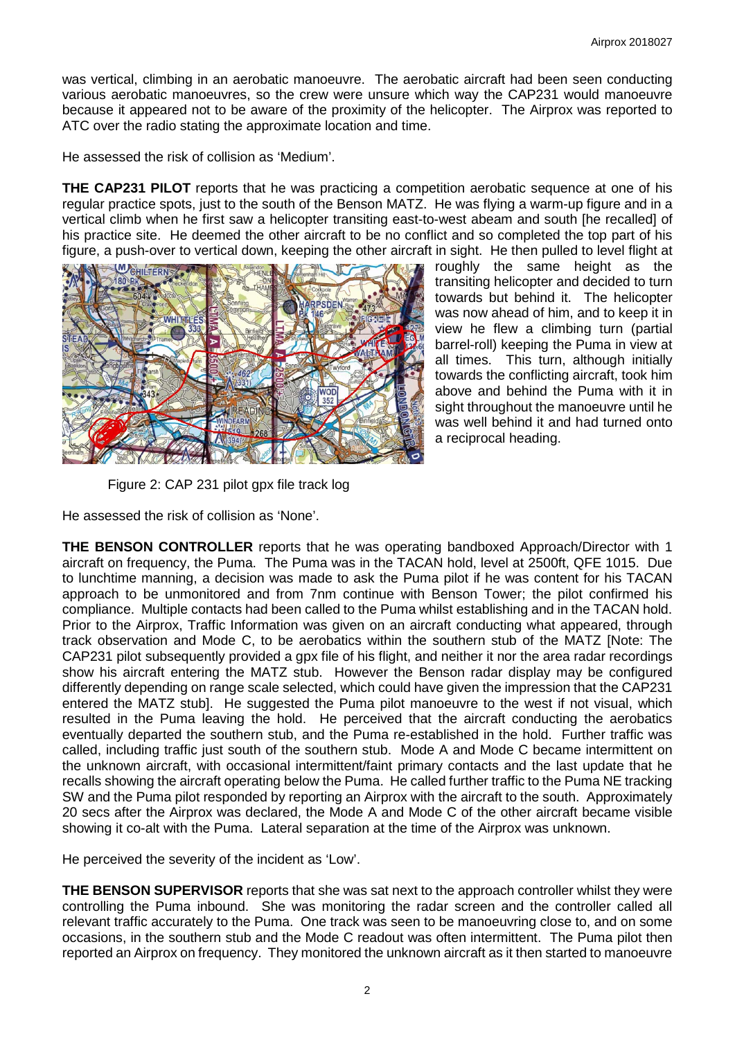was vertical, climbing in an aerobatic manoeuvre. The aerobatic aircraft had been seen conducting various aerobatic manoeuvres, so the crew were unsure which way the CAP231 would manoeuvre because it appeared not to be aware of the proximity of the helicopter. The Airprox was reported to ATC over the radio stating the approximate location and time.

He assessed the risk of collision as 'Medium'.

**THE CAP231 PILOT** reports that he was practicing a competition aerobatic sequence at one of his regular practice spots, just to the south of the Benson MATZ. He was flying a warm-up figure and in a vertical climb when he first saw a helicopter transiting east-to-west abeam and south [he recalled] of his practice site. He deemed the other aircraft to be no conflict and so completed the top part of his figure, a push-over to vertical down, keeping the other aircraft in sight. He then pulled to level flight at



roughly the same height as the transiting helicopter and decided to turn towards but behind it. The helicopter was now ahead of him, and to keep it in view he flew a climbing turn (partial barrel-roll) keeping the Puma in view at all times. This turn, although initially towards the conflicting aircraft, took him above and behind the Puma with it in sight throughout the manoeuvre until he was well behind it and had turned onto a reciprocal heading.

Figure 2: CAP 231 pilot gpx file track log

He assessed the risk of collision as 'None'.

**THE BENSON CONTROLLER** reports that he was operating bandboxed Approach/Director with 1 aircraft on frequency, the Puma. The Puma was in the TACAN hold, level at 2500ft, QFE 1015. Due to lunchtime manning, a decision was made to ask the Puma pilot if he was content for his TACAN approach to be unmonitored and from 7nm continue with Benson Tower; the pilot confirmed his compliance. Multiple contacts had been called to the Puma whilst establishing and in the TACAN hold. Prior to the Airprox, Traffic Information was given on an aircraft conducting what appeared, through track observation and Mode C, to be aerobatics within the southern stub of the MATZ [Note: The CAP231 pilot subsequently provided a gpx file of his flight, and neither it nor the area radar recordings show his aircraft entering the MATZ stub. However the Benson radar display may be configured differently depending on range scale selected, which could have given the impression that the CAP231 entered the MATZ stub]. He suggested the Puma pilot manoeuvre to the west if not visual, which resulted in the Puma leaving the hold. He perceived that the aircraft conducting the aerobatics eventually departed the southern stub, and the Puma re-established in the hold. Further traffic was called, including traffic just south of the southern stub. Mode A and Mode C became intermittent on the unknown aircraft, with occasional intermittent/faint primary contacts and the last update that he recalls showing the aircraft operating below the Puma. He called further traffic to the Puma NE tracking SW and the Puma pilot responded by reporting an Airprox with the aircraft to the south. Approximately 20 secs after the Airprox was declared, the Mode A and Mode C of the other aircraft became visible showing it co-alt with the Puma. Lateral separation at the time of the Airprox was unknown.

He perceived the severity of the incident as 'Low'.

**THE BENSON SUPERVISOR** reports that she was sat next to the approach controller whilst they were controlling the Puma inbound. She was monitoring the radar screen and the controller called all relevant traffic accurately to the Puma. One track was seen to be manoeuvring close to, and on some occasions, in the southern stub and the Mode C readout was often intermittent. The Puma pilot then reported an Airprox on frequency. They monitored the unknown aircraft as it then started to manoeuvre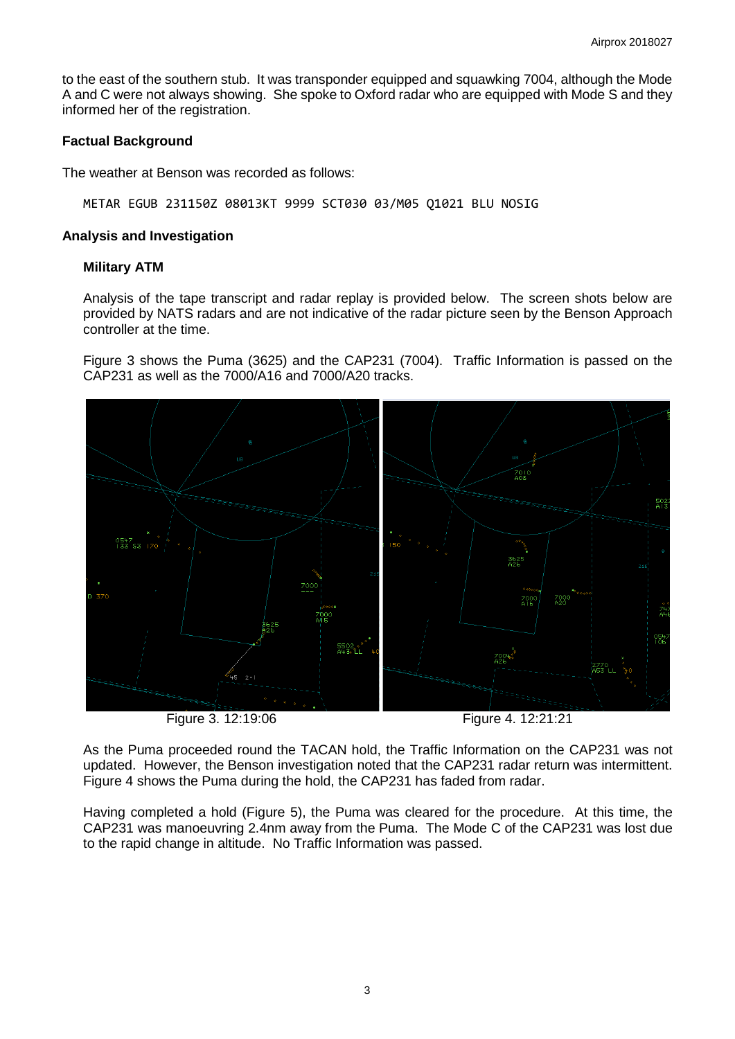to the east of the southern stub. It was transponder equipped and squawking 7004, although the Mode A and C were not always showing. She spoke to Oxford radar who are equipped with Mode S and they informed her of the registration.

### **Factual Background**

The weather at Benson was recorded as follows:

METAR EGUB 231150Z 08013KT 9999 SCT030 03/M05 Q1021 BLU NOSIG

#### **Analysis and Investigation**

#### **Military ATM**

Analysis of the tape transcript and radar replay is provided below. The screen shots below are provided by NATS radars and are not indicative of the radar picture seen by the Benson Approach controller at the time.

Figure 3 shows the Puma (3625) and the CAP231 (7004). Traffic Information is passed on the CAP231 as well as the 7000/A16 and 7000/A20 tracks.



Figure 3. 12:19:06 Figure 4. 12:21:21

As the Puma proceeded round the TACAN hold, the Traffic Information on the CAP231 was not updated. However, the Benson investigation noted that the CAP231 radar return was intermittent. Figure 4 shows the Puma during the hold, the CAP231 has faded from radar.

Having completed a hold (Figure 5), the Puma was cleared for the procedure. At this time, the CAP231 was manoeuvring 2.4nm away from the Puma. The Mode C of the CAP231 was lost due to the rapid change in altitude. No Traffic Information was passed.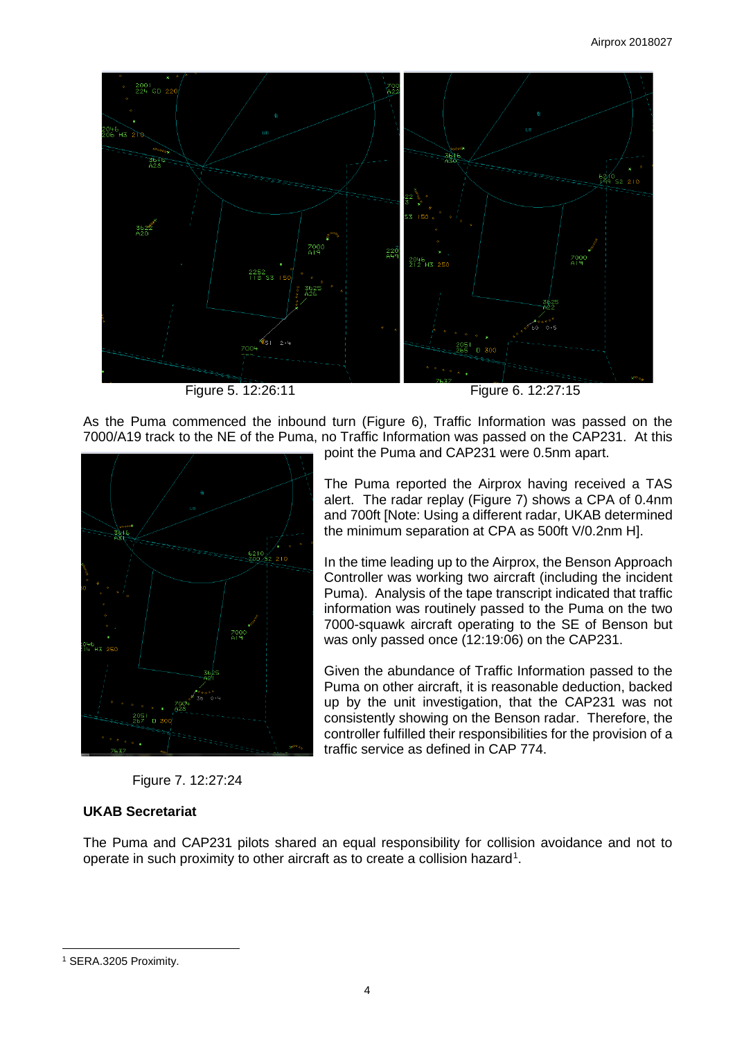

Figure 5. 12:26:11 Figure 6. 12:27:15

As the Puma commenced the inbound turn (Figure 6), Traffic Information was passed on the 7000/A19 track to the NE of the Puma, no Traffic Information was passed on the CAP231. At this



point the Puma and CAP231 were 0.5nm apart.

The Puma reported the Airprox having received a TAS alert. The radar replay (Figure 7) shows a CPA of 0.4nm and 700ft [Note: Using a different radar, UKAB determined the minimum separation at CPA as 500ft V/0.2nm H].

In the time leading up to the Airprox, the Benson Approach Controller was working two aircraft (including the incident Puma). Analysis of the tape transcript indicated that traffic information was routinely passed to the Puma on the two 7000-squawk aircraft operating to the SE of Benson but was only passed once (12:19:06) on the CAP231.

Given the abundance of Traffic Information passed to the Puma on other aircraft, it is reasonable deduction, backed up by the unit investigation, that the CAP231 was not consistently showing on the Benson radar. Therefore, the controller fulfilled their responsibilities for the provision of a traffic service as defined in CAP 774.

Figure 7. 12:27:24

## **UKAB Secretariat**

The Puma and CAP231 pilots shared an equal responsibility for collision avoidance and not to operate in such proximity to other aircraft as to create a collision hazard<sup>[1](#page-3-0)</sup>.

 $\overline{\phantom{a}}$ 

<span id="page-3-0"></span><sup>1</sup> SERA.3205 Proximity.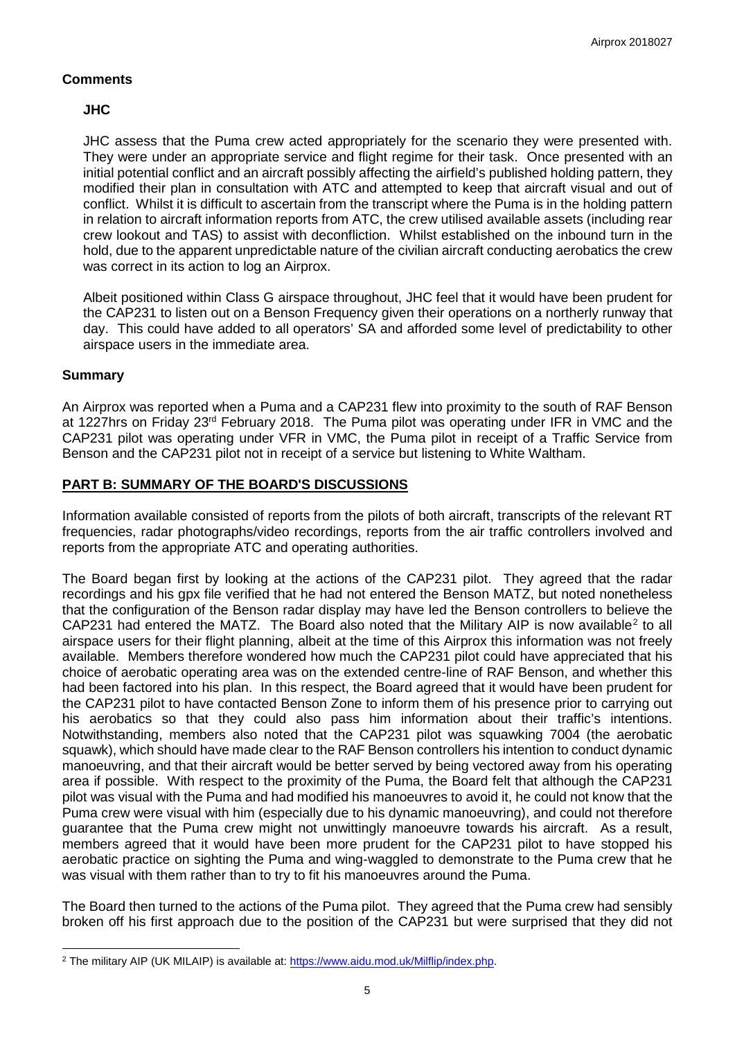## **Comments**

## **JHC**

JHC assess that the Puma crew acted appropriately for the scenario they were presented with. They were under an appropriate service and flight regime for their task. Once presented with an initial potential conflict and an aircraft possibly affecting the airfield's published holding pattern, they modified their plan in consultation with ATC and attempted to keep that aircraft visual and out of conflict. Whilst it is difficult to ascertain from the transcript where the Puma is in the holding pattern in relation to aircraft information reports from ATC, the crew utilised available assets (including rear crew lookout and TAS) to assist with deconfliction. Whilst established on the inbound turn in the hold, due to the apparent unpredictable nature of the civilian aircraft conducting aerobatics the crew was correct in its action to log an Airprox.

Albeit positioned within Class G airspace throughout, JHC feel that it would have been prudent for the CAP231 to listen out on a Benson Frequency given their operations on a northerly runway that day. This could have added to all operators' SA and afforded some level of predictability to other airspace users in the immediate area.

## **Summary**

 $\overline{\phantom{a}}$ 

An Airprox was reported when a Puma and a CAP231 flew into proximity to the south of RAF Benson at 1227hrs on Friday 23<sup>rd</sup> February 2018. The Puma pilot was operating under IFR in VMC and the CAP231 pilot was operating under VFR in VMC, the Puma pilot in receipt of a Traffic Service from Benson and the CAP231 pilot not in receipt of a service but listening to White Waltham.

## **PART B: SUMMARY OF THE BOARD'S DISCUSSIONS**

Information available consisted of reports from the pilots of both aircraft, transcripts of the relevant RT frequencies, radar photographs/video recordings, reports from the air traffic controllers involved and reports from the appropriate ATC and operating authorities.

The Board began first by looking at the actions of the CAP231 pilot. They agreed that the radar recordings and his gpx file verified that he had not entered the Benson MATZ, but noted nonetheless that the configuration of the Benson radar display may have led the Benson controllers to believe the CAP[2](#page-4-0)31 had entered the MATZ. The Board also noted that the Military AIP is now available<sup>2</sup> to all airspace users for their flight planning, albeit at the time of this Airprox this information was not freely available. Members therefore wondered how much the CAP231 pilot could have appreciated that his choice of aerobatic operating area was on the extended centre-line of RAF Benson, and whether this had been factored into his plan. In this respect, the Board agreed that it would have been prudent for the CAP231 pilot to have contacted Benson Zone to inform them of his presence prior to carrying out his aerobatics so that they could also pass him information about their traffic's intentions. Notwithstanding, members also noted that the CAP231 pilot was squawking 7004 (the aerobatic squawk), which should have made clear to the RAF Benson controllers his intention to conduct dynamic manoeuvring, and that their aircraft would be better served by being vectored away from his operating area if possible. With respect to the proximity of the Puma, the Board felt that although the CAP231 pilot was visual with the Puma and had modified his manoeuvres to avoid it, he could not know that the Puma crew were visual with him (especially due to his dynamic manoeuvring), and could not therefore guarantee that the Puma crew might not unwittingly manoeuvre towards his aircraft. As a result, members agreed that it would have been more prudent for the CAP231 pilot to have stopped his aerobatic practice on sighting the Puma and wing-waggled to demonstrate to the Puma crew that he was visual with them rather than to try to fit his manoeuvres around the Puma.

The Board then turned to the actions of the Puma pilot. They agreed that the Puma crew had sensibly broken off his first approach due to the position of the CAP231 but were surprised that they did not

<span id="page-4-0"></span><sup>2</sup> The military AIP (UK MILAIP) is available at: [https://www.aidu.mod.uk/Milflip/index.php.](https://www.aidu.mod.uk/Milflip/index.php)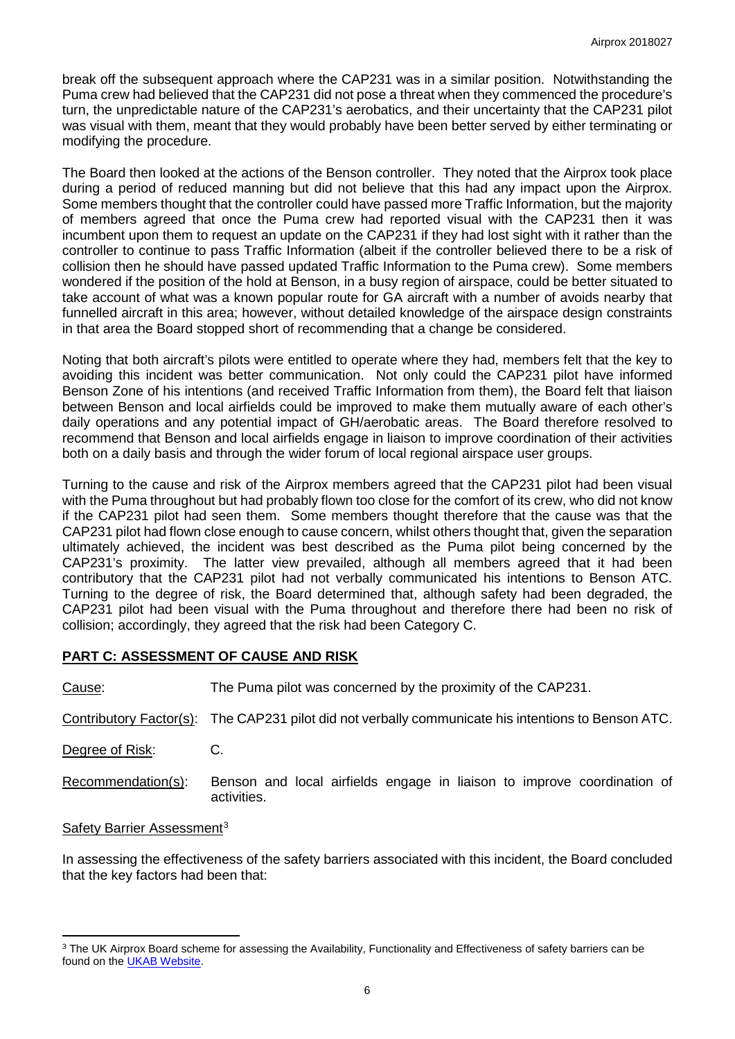break off the subsequent approach where the CAP231 was in a similar position. Notwithstanding the Puma crew had believed that the CAP231 did not pose a threat when they commenced the procedure's turn, the unpredictable nature of the CAP231's aerobatics, and their uncertainty that the CAP231 pilot was visual with them, meant that they would probably have been better served by either terminating or modifying the procedure.

The Board then looked at the actions of the Benson controller. They noted that the Airprox took place during a period of reduced manning but did not believe that this had any impact upon the Airprox. Some members thought that the controller could have passed more Traffic Information, but the majority of members agreed that once the Puma crew had reported visual with the CAP231 then it was incumbent upon them to request an update on the CAP231 if they had lost sight with it rather than the controller to continue to pass Traffic Information (albeit if the controller believed there to be a risk of collision then he should have passed updated Traffic Information to the Puma crew). Some members wondered if the position of the hold at Benson, in a busy region of airspace, could be better situated to take account of what was a known popular route for GA aircraft with a number of avoids nearby that funnelled aircraft in this area; however, without detailed knowledge of the airspace design constraints in that area the Board stopped short of recommending that a change be considered.

Noting that both aircraft's pilots were entitled to operate where they had, members felt that the key to avoiding this incident was better communication. Not only could the CAP231 pilot have informed Benson Zone of his intentions (and received Traffic Information from them), the Board felt that liaison between Benson and local airfields could be improved to make them mutually aware of each other's daily operations and any potential impact of GH/aerobatic areas. The Board therefore resolved to recommend that Benson and local airfields engage in liaison to improve coordination of their activities both on a daily basis and through the wider forum of local regional airspace user groups.

Turning to the cause and risk of the Airprox members agreed that the CAP231 pilot had been visual with the Puma throughout but had probably flown too close for the comfort of its crew, who did not know if the CAP231 pilot had seen them. Some members thought therefore that the cause was that the CAP231 pilot had flown close enough to cause concern, whilst others thought that, given the separation ultimately achieved, the incident was best described as the Puma pilot being concerned by the CAP231's proximity. The latter view prevailed, although all members agreed that it had been contributory that the CAP231 pilot had not verbally communicated his intentions to Benson ATC. Turning to the degree of risk, the Board determined that, although safety had been degraded, the CAP231 pilot had been visual with the Puma throughout and therefore there had been no risk of collision; accordingly, they agreed that the risk had been Category C.

## **PART C: ASSESSMENT OF CAUSE AND RISK**

l

| Cause:                                 | The Puma pilot was concerned by the proximity of the CAP231.                                        |  |  |  |  |  |
|----------------------------------------|-----------------------------------------------------------------------------------------------------|--|--|--|--|--|
|                                        | Contributory Factor(s): The CAP231 pilot did not verbally communicate his intentions to Benson ATC. |  |  |  |  |  |
| Degree of Risk:                        | C.                                                                                                  |  |  |  |  |  |
| Recommendation(s):                     | Benson and local airfields engage in liaison to improve coordination of<br>activities.              |  |  |  |  |  |
| Safety Barrier Assessment <sup>3</sup> |                                                                                                     |  |  |  |  |  |

In assessing the effectiveness of the safety barriers associated with this incident, the Board concluded that the key factors had been that:

<span id="page-5-0"></span><sup>&</sup>lt;sup>3</sup> The UK Airprox Board scheme for assessing the Availability, Functionality and Effectiveness of safety barriers can be found on the [UKAB Website.](http://www.airproxboard.org.uk/Learn-more/Airprox-Barrier-Assessment/)